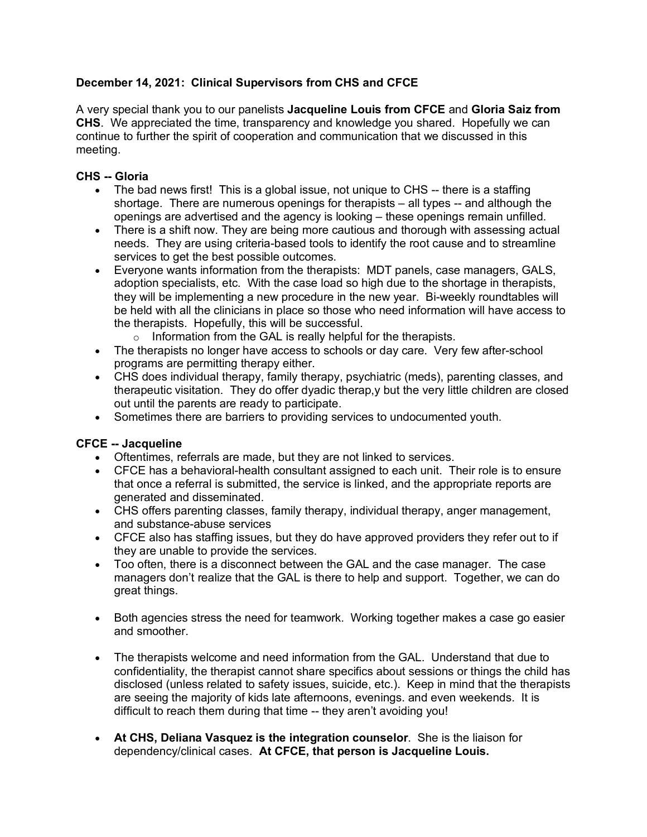## **December 14, 2021: Clinical Supervisors from CHS and CFCE**

A very special thank you to our panelists **Jacqueline Louis from CFCE** and **Gloria Saiz from CHS**. We appreciated the time, transparency and knowledge you shared. Hopefully we can continue to further the spirit of cooperation and communication that we discussed in this meeting.

## **CHS -- Gloria**

- The bad news first! This is a global issue, not unique to CHS -- there is a staffing shortage. There are numerous openings for therapists – all types -- and although the openings are advertised and the agency is looking – these openings remain unfilled.
- There is a shift now. They are being more cautious and thorough with assessing actual needs. They are using criteria-based tools to identify the root cause and to streamline services to get the best possible outcomes.
- Everyone wants information from the therapists: MDT panels, case managers, GALS, adoption specialists, etc. With the case load so high due to the shortage in therapists, they will be implementing a new procedure in the new year. Bi-weekly roundtables will be held with all the clinicians in place so those who need information will have access to the therapists. Hopefully, this will be successful.
	- $\circ$  Information from the GAL is really helpful for the therapists.
- The therapists no longer have access to schools or day care. Very few after-school programs are permitting therapy either.
- CHS does individual therapy, family therapy, psychiatric (meds), parenting classes, and therapeutic visitation. They do offer dyadic therap,y but the very little children are closed out until the parents are ready to participate.
- Sometimes there are barriers to providing services to undocumented youth.

## **CFCE -- Jacqueline**

- Oftentimes, referrals are made, but they are not linked to services.
- CFCE has a behavioral-health consultant assigned to each unit. Their role is to ensure that once a referral is submitted, the service is linked, and the appropriate reports are generated and disseminated.
- CHS offers parenting classes, family therapy, individual therapy, anger management, and substance-abuse services
- CFCE also has staffing issues, but they do have approved providers they refer out to if they are unable to provide the services.
- Too often, there is a disconnect between the GAL and the case manager. The case managers don't realize that the GAL is there to help and support. Together, we can do great things.
- Both agencies stress the need for teamwork. Working together makes a case go easier and smoother.
- The therapists welcome and need information from the GAL. Understand that due to confidentiality, the therapist cannot share specifics about sessions or things the child has disclosed (unless related to safety issues, suicide, etc.). Keep in mind that the therapists are seeing the majority of kids late afternoons, evenings. and even weekends. It is difficult to reach them during that time -- they aren't avoiding you!
- **At CHS, Deliana Vasquez is the integration counselor**. She is the liaison for dependency/clinical cases. **At CFCE, that person is Jacqueline Louis.**